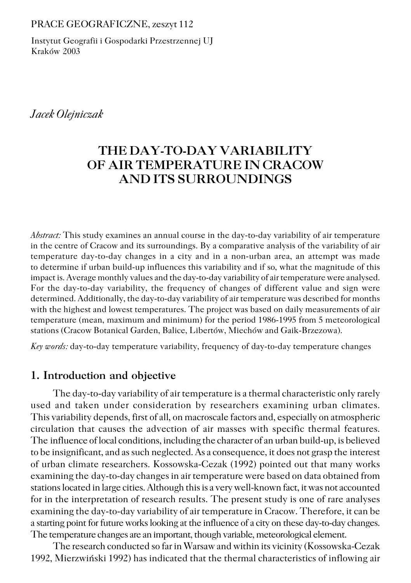#### PRACE GEOGRAFICZNE, zeszyt 112

Instytut Geografii i Gospodarki Przestrzennej UJ Kraków 2003

## *Jacek Olejniczak*

# **THE DAY−TO−DAY VARIABILITY OF AIR TEMPERATURE IN CRACOW AND ITS SURROUNDINGS**

*Abstract:* This study examines an annual course in the day−to−day variability of air temperature in the centre of Cracow and its surroundings. By a comparative analysis of the variability of air temperature day−to−day changes in a city and in a non−urban area, an attempt was made to determine if urban build−up influences this variability and if so, what the magnitude of this impact is. Average monthly values and the day−to−day variability of air temperature were analysed. For the day−to−day variability, the frequency of changes of different value and sign were determined. Additionally, the day−to−day variability of air temperature was described for months with the highest and lowest temperatures. The project was based on daily measurements of air temperature (mean, maximum and minimum) for the period 1986−1995 from 5 meteorological stations (Cracow Botanical Garden, Balice, Libertów, Miechów and Gaik−Brzezowa).

*Key words:* day−to−day temperature variability, frequency of day−to−day temperature changes

#### **1. Introduction and objective**

The day−to−day variability of air temperature is a thermal characteristic only rarely used and taken under consideration by researchers examining urban climates. This variability depends, first of all, on macroscale factors and, especially on atmospheric circulation that causes the advection of air masses with specific thermal features. The influence of local conditions, including the character of an urban build-up, is believed to be insignificant, and as such neglected. As a consequence, it does not grasp the interest of urban climate researchers. Kossowska−Cezak (1992) pointed out that many works examining the day-to-day changes in air temperature were based on data obtained from stations located in large cities. Although this is a very well−known fact, it was not accounted for in the interpretation of research results. The present study is one of rare analyses examining the day−to−day variability of air temperature in Cracow. Therefore, it can be a starting point for future works looking at the influence of a city on these day−to−day changes. The temperature changes are an important, though variable, meteorological element.

The research conducted so far in Warsaw and within its vicinity (Kossowska−Cezak 1992, Mierzwiński 1992) has indicated that the thermal characteristics of inflowing air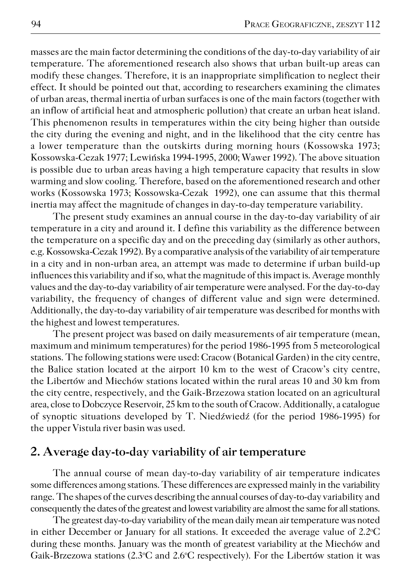masses are the main factor determining the conditions of the day−to−day variability of air temperature. The aforementioned research also shows that urban built−up areas can modify these changes. Therefore, it is an inappropriate simplification to neglect their effect. It should be pointed out that, according to researchers examining the climates of urban areas, thermal inertia of urban surfaces is one of the main factors (together with an inflow of artificial heat and atmospheric pollution) that create an urban heat island. This phenomenon results in temperatures within the city being higher than outside thecity during the evening and night, and in the likelihood that the city centre has a lower temperature than the outskirts during morning hours (Kossowska 1973; Kossowska−Cezak 1977; Lewińska 1994−1995, 2000; Wawer 1992). The above situation is possible due to urban areas having a high temperature capacity that results in slow warming and slow cooling. Therefore, based on the aforementioned research and other works (Kossowska 1973; Kossowska−Cezak 1992), one can assume that this thermal inertia may affect the magnitude of changes in day-to-day temperature variability.

The present study examines an annual course in the day−to−day variability of air temperature in a city and around it. I define this variability as the difference between the temperature on a specific day and on the preceding day (similarly as other authors, e.g. Kossowska−Cezak 1992). By a comparative analysis of the variability of air temperature in a city and in non−urban area, an attempt was made to determine if urban build−up influences this variability and if so, what the magnitude of this impact is. Average monthly values and the day−to−day variability of air temperature were analysed. For the day−to−day variability, the frequency of changes of different value and sign were determined. Additionally, the day−to−day variability of air temperature was described for months with the highest and lowest temperatures.

The present project was based on daily measurements of air temperature (mean, maximum and minimum temperatures) for the period 1986−1995 from 5 meteorological stations. The following stations were used: Cracow (Botanical Garden) in the city centre, the Balice station located at the airport 10 km to the west of Cracow's city centre, theLibertów and Miechów stations located within the rural areas 10 and 30 km from thecity centre, respectively, and the Gaik−Brzezowa station located on an agricultural area, close to Dobczyce Reservoir, 25 km to the south of Cracow. Additionally, a catalogue of synoptic situations developed by T. Niedźwiedź (for the period 1986−1995) for the upper Vistula river basin was used.

#### **2. Average day−to−day variability of air temperature**

The annual course of mean day−to−day variability of air temperature indicates some differences among stations. These differences are expressed mainly in the variability range. The shapes of the curves describing the annual courses of day−to−day variability and consequently the dates of the greatest and lowest variability are almost the same for all stations.

The greatest day−to−day variability of the mean daily mean air temperature was noted in either December or January for all stations. It exceeded the average value of 2.2°C during these months. January was the month of greatest variability at the Miechów and Gaik-Brzezowa stations (2.3°C and 2.6°C respectively). For the Libertów station it was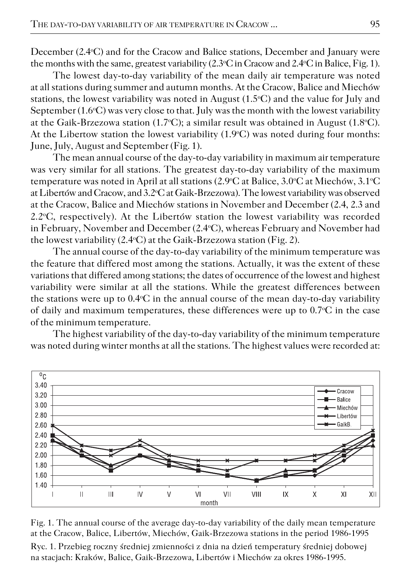December (2.4<sup>o</sup>C) and for the Cracow and Balice stations, December and January were the months with the same, greatest variability (2.3°C in Cracow and 2.4°C in Balice, Fig. 1).

The lowest day−to−day variability of the mean daily air temperature was noted at all stations during summer and autumn months. At the Cracow, Balice and Miechów stations, the lowest variability was noted in August  $(1.5^{\circ}C)$  and the value for July and September  $(1.6°C)$  was very close to that. July was the month with the lowest variability at the Gaik−Brzezowa station (1.7oC); a similar result was obtained in August (1.8oC). At the Libertow station the lowest variability (1.9°C) was noted during four months: June, July, August and September (Fig. 1).

The mean annual course of the day−to−day variability in maximum air temperature was very similar for all stations. The greatest day−to−day variability of the maximum temperature was noted in April at all stations  $(2.9^{\circ}\text{C at Balice}, 3.0^{\circ}\text{C at Miechów}, 3.1^{\circ}\text{C}$ at Libertów and Cracow, and 3.2°C at Gaik-Brzezowa). The lowest variability was observed at the Cracow, Balice and Miechów stations in November and December (2.4, 2.3 and 2.2°C, respectively). At the Libertów station the lowest variability was recorded in February, November and December (2.4°C), whereas February and November had the lowest variability (2.4°C) at the Gaik-Brzezowa station (Fig. 2).

The annual course of the day−to−day variability of the minimum temperature was the feature that differed most among the stations. Actually, it was the extent of these variations that differed among stations; the dates of occurrence of the lowest and highest variability were similar at all the stations. While the greatest differences between the stations were up to 0.4°C in the annual course of the mean day-to-day variability of daily and maximum temperatures, these differences were up to  $0.7\textdegree C$  in the case of the minimum temperature.

The highest variability of the day−to−day variability of the minimum temperature was noted during winter months at all the stations. The highest values were recorded at:



Fig. 1. The annual course of the average day−to−day variability of the daily mean temperature at the Cracow, Balice, Libertów, Miechów, Gaik−Brzezowa stations in the period 1986−1995 Ryc. 1. Przebieg roczny średniej zmienności z dnia na dzień temperatury średniej dobowej na stacjach: Kraków, Balice, Gaik−Brzezowa, Libertów i Miechów za okres 1986−1995.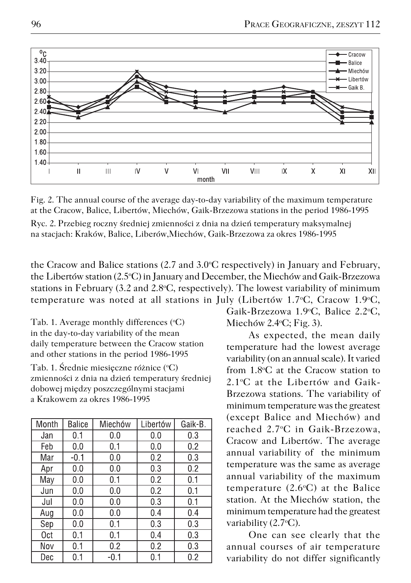

Fig. 2. The annual course of the average day−to−day variability of the maximum temperature at the Cracow, Balice, Libertów, Miechów, Gaik−Brzezowa stations in the period 1986−1995

Ryc. 2. Przebieg roczny średniej zmienności z dnia na dzień temperatury maksymalnej na stacjach: Kraków, Balice, Liberów,Miechów, Gaik−Brzezowa za okres 1986−1995

the Cracow and Balice stations  $(2.7 \text{ and } 3.0 \text{°C}$  respectively) in January and February, theLibertów station (2.5oC) in January and December, the Miechów and Gaik−Brzezowa stations in February  $(3.2 \text{ and } 2.8 \text{°C}, \text{respectively})$ . The lowest variability of minimum temperature was noted at all stations in July (Libertów 1.7 $\degree$ C, Cracow 1.9 $\degree$ C,

Tab. 1. Average monthly differences  $(°C)$ in the day−to−day variability of the mean daily temperature between the Cracow station and other stations in the period 1986−1995 Tab. 1. Średnie miesieczne różnice (°C) zmienności z dnia na dzień temperatury średniej dobowej między poszczególnymi stacjami a Krakowem za okres 1986−1995

| Month | <b>Balice</b> | Miechów | Libertów | Gaik-B. |
|-------|---------------|---------|----------|---------|
| Jan   | 0.1           | 0.0     | 0.0      | 0.3     |
| Feb   | 0.0           | 0.1     | 0.0      | 0.2     |
| Mar   | -0.1          | 0.0     | 0.2      | 0.3     |
| Apr   | 0.0           | 0.0     | 0.3      | 0.2     |
| May   | 0.0           | 0.1     | 0.2      | 0.1     |
| Jun   | 0.0           | 0.0     | 0.2      | 0.1     |
| Jul   | 0.0           | 0.0     | 0.3      | 0.1     |
| Aug   | 0.0           | 0.0     | 0.4      | 0.4     |
| Sep   | 0.0           | 0.1     | 0.3      | 0.3     |
| 0ct   | 0.1           | 0.1     | 0.4      | 0.3     |
| Nov   | 0.1           | 0.2     | 0.2      | 0.3     |
| Dec   | 0.1           | $-0.1$  | 0.1      | 0.2     |

Gaik−Brzezowa 1.9oC, Balice 2.2oC, Miechów 2.4 $\textdegree$ C; Fig. 3).

As expected, the mean daily temperature had the lowest average variability (on an annual scale). It varied from 1.8oC at the Cracow station to 2.1°C at the Libertów and Gaik-Brzezowa stations. The variability of minimum temperature was the greatest (except Balice and Miechów) and reached 2.7oC in Gaik−Brzezowa, Cracow and Libertów. The average annual variability of the minimum temperature was the same as average annual variability of the maximum temperature  $(2.6°C)$  at the Balice station. At the Miechów station, the minimum temperature had the greatest variability  $(2.7°C)$ .

One can see clearly that the annual courses of air temperature variability do not differ significantly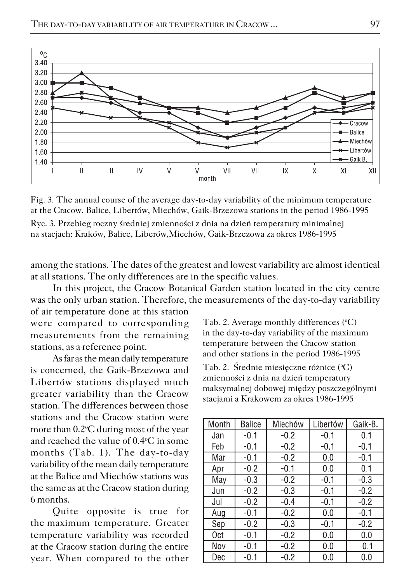

Fig. 3. The annual course of the average day−to−day variability of the minimum temperature at the Cracow, Balice, Libertów, Miechów, Gaik−Brzezowa stations in the period 1986−1995



among the stations. The dates of the greatest and lowest variability are almost identical at all stations. The only differences are in the specific values.

In this project, the Cracow Botanical Garden station located in the city centre was the only urban station. Therefore, the measurements of the day−to−day variability of air temperature done at this station

were compared to corresponding measurements from the remaining stations, as a reference point.

As far as the mean daily temperature is concerned, the Gaik−Brzezowa and Libertów stations displayed much greater variability than the Cracow station. The differences between those stations and the Cracow station were more than  $0.2$ <sup>o</sup>C during most of the year and reached the value of 0.4oC in some months (Tab. 1). The day−to−day variability of the mean daily temperature at the Balice and Miechów stations was the same as at the Cracow station during 6 months.

Quite opposite is true for the maximum temperature. Greater temperature variability was recorded at the Cracow station during the entire year. When compared to the other Tab. 2. Average monthly differences  $({}^{\circ}C)$ in the day−to−day variability of the maximum temperature between the Cracow station and other stations in the period 1986−1995

Tab. 2. Średnie miesięczne różnice (°C) zmienności z dnia na dzień temperatury maksymalnej dobowej między poszczególnymi stacjami a Krakowem za okres 1986−1995

| Month | Balice | Miechów | Libertów | Gaik-B. |
|-------|--------|---------|----------|---------|
| Jan   | $-0.1$ | $-0.2$  | $-0.1$   | 0.1     |
| Feb   | $-0.1$ | $-0.2$  | $-0.1$   | $-0.1$  |
| Mar   | -0.1   | $-0.2$  | 0.0      | $-0.1$  |
| Apr   | $-0.2$ | $-0.1$  | 0.0      | 0.1     |
| May   | $-0.3$ | $-0.2$  | $-0.1$   | $-0.3$  |
| Jun   | $-0.2$ | $-0.3$  | $-0.1$   | $-0.2$  |
| Jul   | $-0.2$ | $-0.4$  | -0.1     | $-0.2$  |
| Aug   | $-0.1$ | $-0.2$  | 0.0      | $-0.1$  |
| Sep   | $-0.2$ | $-0.3$  | $-0.1$   | $-0.2$  |
| 0ct   | $-0.1$ | $-0.2$  | 0.0      | 0.0     |
| Nov   | $-0.1$ | $-0.2$  | 0.0      | 0.1     |
| Dec   | -0.1   | $-0.2$  | 0.0      | 0.0     |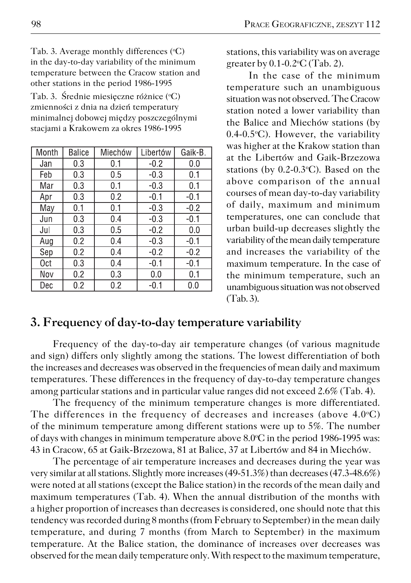Tab. 3. Average monthly differences (°C) in the day−to−day variability of the minimum temperature between the Cracow station and other stations in the period 1986−1995

Tab. 3. Średnie miesięczne różnice (°C) zmienności z dnia na dzień temperatury minimalnej dobowej między poszczególnymi stacjami a Krakowem za okres 1986−1995

| Month | <b>Balice</b> | Miechów | Libertów | Gaik-B. |
|-------|---------------|---------|----------|---------|
| Jan   | 0.3           | 0.1     | $-0.2$   | 0.0     |
| Feb   | 0.3           | 0.5     | $-0.3$   | 0.1     |
| Mar   | 0.3           | 0.1     | -0.3     | 0.1     |
| Apr   | 0.3           | 0.2     | $-0.1$   | $-0.1$  |
| May   | 0.1           | 0.1     | $-0.3$   | $-0.2$  |
| Jun   | 0.3           | 0.4     | $-0.3$   | $-0.1$  |
| Jul   | 0.3           | 0.5     | $-0.2$   | 0.0     |
| Aug   | 0.2           | 0.4     | $-0.3$   | $-0.1$  |
| Sep   | 0.2           | 0.4     | $-0.2$   | $-0.2$  |
| 0ct   | 0.3           | 0.4     | $-0.1$   | $-0.1$  |
| Nov   | 0.2           | 0.3     | 0.0      | 0.1     |
| Dec   | 0.2           | 0.2     | $-0.1$   | 0.0     |

stations, this variability was on average greater by 0.1-0.2<sup>o</sup>C (Tab. 2).

In the case of the minimum temperature such an unambiguous situation was not observed. The Cracow station noted a lower variability than the Balice and Miechów stations (by 0.4-0.5°C). However, the variability was higher at the Krakow station than at the Libertów and Gaik−Brzezowa stations (by 0.2-0.3°C). Based on the above comparison of the annual courses of mean day−to−day variability of daily, maximum and minimum temperatures, one can conclude that urban build−up decreases slightly the variability of the mean daily temperature and increases the variability of the maximum temperature. In the case of the minimum temperature, such an unambiguous situation was not observed (Tab. 3).

### **3. Frequency of day−to−day temperature variability**

Frequency of the day−to−day air temperature changes (of various magnitude and sign) differs only slightly among the stations. The lowest differentiation of both the increases and decreases was observed in the frequencies of mean daily and maximum temperatures. These differences in the frequency of day−to−day temperature changes among particular stations and in particular value ranges did not exceed 2.6% (Tab. 4).

The frequency of the minimum temperature changes is more differentiated. The differences in the frequency of decreases and increases (above  $4.0^{\circ}$ C) of the minimum temperature among different stations were up to 5%. The number of days with changes in minimum temperature above 8.0°C in the period 1986-1995 was: 43 in Cracow, 65 at Gaik−Brzezowa, 81 at Balice, 37 at Libertów and 84 in Miechów.

The percentage of air temperature increases and decreases during the year was very similar at all stations. Slightly more increases (49−51.3%) than decreases (47.3−48.6%) were noted at all stations (except the Balice station) in the records of the mean daily and maximum temperatures (Tab. 4). When the annual distribution of the months with a higher proportion of increases than decreases is considered, one should note that this tendency was recorded during 8 months (from February to September) in the mean daily temperature, and during 7 months (from March to September) in the maximum temperature. At the Balice station, the dominance of increases over decreases was observed for the mean daily temperature only. With respect to the maximum temperature,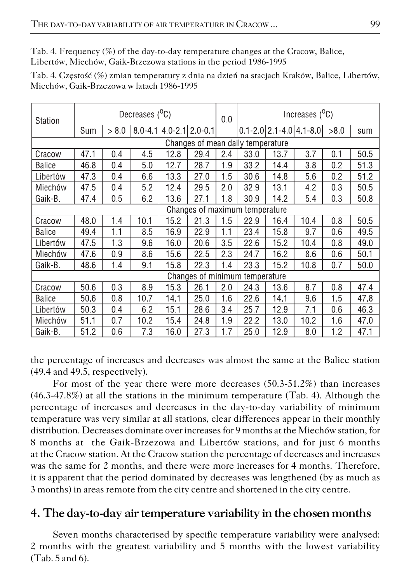Tab. 4. Frequency (%) of the day−to−day temperature changes at the Cracow, Balice, Libertów, Miechów, Gaik−Brzezowa stations in the period 1986−1995

| Tab. 4. Częstość (%) zmian temperatury z dnia na dzień na stacjach Kraków, Balice, Libertów, |  |  |  |
|----------------------------------------------------------------------------------------------|--|--|--|
| Miechów, Gaik-Brzezowa w latach 1986-1995                                                    |  |  |  |

| Station       | Decreases $(^0C)$ |       |      |                                       | 0.0                               | Increases $(^0C)$              |      |      |                                     |      |      |
|---------------|-------------------|-------|------|---------------------------------------|-----------------------------------|--------------------------------|------|------|-------------------------------------|------|------|
|               | Sum               | > 8.0 |      | $8.0 - 4.1$ $  4.0 - 2.1   2.0 - 0.1$ |                                   |                                |      |      | $0.1 - 2.0$ $2.1 - 4.0$ $4.1 - 8.0$ | >8.0 | sum  |
|               |                   |       |      |                                       | Changes of mean daily temperature |                                |      |      |                                     |      |      |
| Cracow        | 47.1              | 0.4   | 4.5  | 12.8                                  | 29.4                              | 2.4                            | 33.0 | 13.7 | 3.7                                 | 0.1  | 50.5 |
| <b>Balice</b> | 46.8              | 0.4   | 5.0  | 12.7                                  | 28.7                              | 1.9                            | 33.2 | 14.4 | 3.8                                 | 0.2  | 51.3 |
| Libertów      | 47.3              | 0.4   | 6.6  | 13.3                                  | 27.0                              | 1.5                            | 30.6 | 14.8 | 5.6                                 | 0.2  | 51.2 |
| Miechów       | 47.5              | 0.4   | 5.2  | 12.4                                  | 29.5                              | 2.0                            | 32.9 | 13.1 | 4.2                                 | 0.3  | 50.5 |
| Gaik-B.       | 47.4              | 0.5   | 6.2  | 13.6                                  | 27.1                              | 1.8                            | 30.9 | 14.2 | 5.4                                 | 0.3  | 50.8 |
|               |                   |       |      |                                       |                                   | Changes of maximum temperature |      |      |                                     |      |      |
| Cracow        | 48.0              | 1.4   | 10.1 | 15.2                                  | 21.3                              | 1.5                            | 22.9 | 16.4 | 10.4                                | 0.8  | 50.5 |
| <b>Balice</b> | 49.4              | 1.1   | 8.5  | 16.9                                  | 22.9                              | 1.1                            | 23.4 | 15.8 | 9.7                                 | 06   | 49.5 |
| Libertów      | 47.5              | 1.3   | 9.6  | 16.0                                  | 20.6                              | 3.5                            | 22.6 | 15.2 | 10.4                                | 0.8  | 49.0 |
| Miechów       | 47.6              | 0.9   | 8.6  | 15.6                                  | 22.5                              | 2.3                            | 24.7 | 16.2 | 8.6                                 | 0.6  | 50.1 |
| Gaik-B.       | 48.6              | 1.4   | 9.1  | 15.8                                  | 22.3                              | 1.4                            | 23.3 | 15.2 | 10.8                                | 0.7  | 50.0 |
|               |                   |       |      |                                       | Changes of minimum temperature    |                                |      |      |                                     |      |      |
| Cracow        | 50.6              | 0.3   | 8.9  | 15.3                                  | 26.1                              | 2.0                            | 24.3 | 13.6 | 8.7                                 | 0.8  | 47.4 |
| <b>Balice</b> | 50.6              | 0.8   | 10.7 | 14.1                                  | 25.0                              | 1.6                            | 22.6 | 14.1 | 9.6                                 | 1.5  | 47.8 |
| Libertów      | 50.3              | 0.4   | 6.2  | 15.1                                  | 28.6                              | 3.4                            | 25.7 | 12.9 | 7.1                                 | 0.6  | 46.3 |
| Miechów       | 51.1              | 0.7   | 10.2 | 15.4                                  | 24.8                              | 1.9                            | 22.2 | 13.0 | 10.2                                | 1.6  | 47.0 |
| Gaik-B.       | 51.2              | 0.6   | 7.3  | 16.0                                  | 27.3                              | 1.7                            | 25.0 | 12.9 | 8.0                                 | 1.2  | 47.1 |

the percentage of increases and decreases was almost the same at the Balice station (49.4 and 49.5, respectively).

For most of the year there were more decreases (50.3−51.2%) than increases (46.3−47.8%) at all the stations in the minimum temperature (Tab. 4). Although the percentage of increases and decreases in the day−to−day variability of minimum temperature was very similar at all stations, clear differences appear in their monthly distribution. Decreases dominate over increases for 9 months at the Miechów station, for 8 months at the Gaik−Brzezowa and Libertów stations, and for just 6 months at the Cracow station. At the Cracow station the percentage of decreases and increases was the same for 2 months, and there were more increases for 4 months. Therefore, it is apparent that the period dominated by decreases was lengthened (by as much as 3 months) in areas remote from the city centre and shortened in the city centre.

### **4. The day−to−day air temperature variability in the chosen months**

Seven months characterised by specific temperature variability were analysed: 2 months with the greatest variability and 5 months with the lowest variability (Tab. 5 and 6).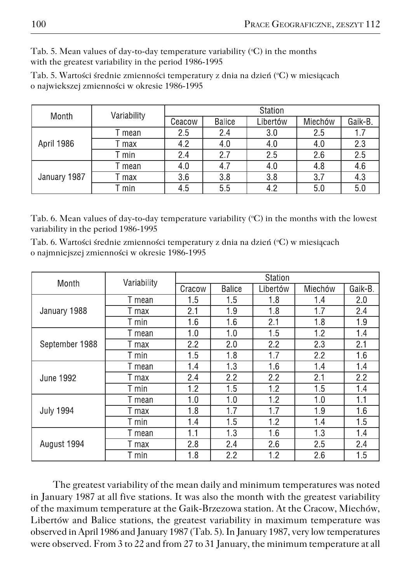Tab. 5. Mean values of day-to-day temperature variability (°C) in the months with the greatest variability in the period 1986−1995

Tab. 5. Wartości średnie zmienności temperatury z dnia na dzień (°C) w miesiącach o najwiekszej zmienności w okresie 1986−1995

| Month        | Variability | Station |               |          |         |         |  |  |
|--------------|-------------|---------|---------------|----------|---------|---------|--|--|
|              |             | Ceacow  | <b>Balice</b> | Libertów | Miechów | Gaik-B. |  |  |
|              | mean        | 2.5     | 2.4           | 3.0      | 2.5     | 1.7     |  |  |
| April 1986   | max         | 4.2     | 4.0           | 4.0      | 4.0     | 2.3     |  |  |
|              | T min       | 2.4     | 2.7           | 2.5      | 2.6     | 2.5     |  |  |
|              | mean        | 4.0     | 4.7           | 4.0      | 4.8     | 4.6     |  |  |
| January 1987 | max         | 3.6     | 3.8           | 3.8      | 3.7     | 4.3     |  |  |
|              | min         | 4.5     | 5.5           | 4.2      | 5.0     | 5.0     |  |  |

Tab. 6. Mean values of day-to-day temperature variability (°C) in the months with the lowest variability in the period 1986−1995

Tab. 6. Wartości średnie zmienności temperatury z dnia na dzień (°C) w miesiącach o najmniejszej zmienności w okresie 1986−1995

| Month            | Variability | Station |               |          |         |         |  |  |
|------------------|-------------|---------|---------------|----------|---------|---------|--|--|
|                  |             | Cracow  | <b>Balice</b> | Libertów | Miechów | Gaik-B. |  |  |
|                  | T mean      | 1.5     | 1.5           | 1.8      | 1.4     | 2.0     |  |  |
| January 1988     | T max       | 2.1     | 1.9           | 1.8      | 1.7     | 2.4     |  |  |
|                  | T min       | 1.6     | 1.6           | 2.1      | 1.8     | 1.9     |  |  |
|                  | T mean      | 1.0     | 1.0           | 1.5      | 1.2     | 1.4     |  |  |
| September 1988   | T max       | 2.2     | 2.0           | 2.2      | 2.3     | 2.1     |  |  |
|                  | T min       | 1.5     | 1.8           | 1.7      | 2.2     | 1.6     |  |  |
|                  | T mean      | 1.4     | 1.3           | 1.6      | 1.4     | 1.4     |  |  |
| <b>June 1992</b> | T max       | 2.4     | 2.2           | 2.2      | 2.1     | 2.2     |  |  |
|                  | T min       | 1.2     | 1.5           | 1.2      | 1.5     | 1.4     |  |  |
|                  | T mean      | 1.0     | 1.0           | 1.2      | 1.0     | 1.1     |  |  |
| <b>July 1994</b> | T max       | 1.8     | 1.7           | 1.7      | 1.9     | 1.6     |  |  |
|                  | T min       | 1.4     | 1.5           | 1.2      | 1.4     | 1.5     |  |  |
| August 1994      | T mean      | 1.1     | 1.3           | 1.6      | 1.3     | 1.4     |  |  |
|                  | T max       | 2.8     | 2.4           | 2.6      | 2.5     | 2.4     |  |  |
|                  | T min       | 1.8     | 2.2           | 1.2      | 2.6     | 1.5     |  |  |

The greatest variability of the mean daily and minimum temperatures was noted in January 1987 at all five stations. It was also the month with the greatest variability of the maximum temperature at the Gaik−Brzezowa station. At the Cracow, Miechów, Libertów and Balice stations, the greatest variability in maximum temperature was observed in April 1986 and January 1987 (Tab. 5). In January 1987, very low temperatures were observed. From 3 to 22 and from 27 to 31 January, the minimum temperature at all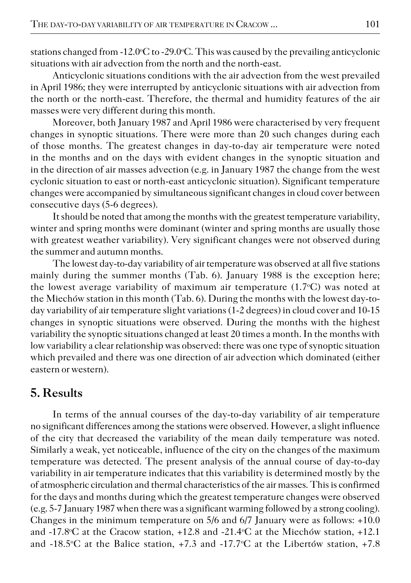stations changed from -12.0°C to -29.0°C. This was caused by the prevailing anticyclonic situations with air advection from the north and the north−east.

Anticyclonic situations conditions with the air advection from the west prevailed in April 1986; they were interrupted by anticyclonic situations with air advection from the north or the north−east. Therefore, the thermal and humidity features of the air masses were very different during this month.

Moreover, both January 1987 and April 1986 were characterised by very frequent changes in synoptic situations. There were more than 20 such changes during each of those months. The greatest changes in day−to−day air temperature were noted in the months and on the days with evident changes in the synoptic situation and in the direction of air masses advection (e.g. in January 1987 the change from the west cyclonic situation to east or north−east anticyclonic situation). Significant temperature changes were accompanied by simultaneous significant changes in cloud cover between consecutive days (5−6 degrees).

It should be noted that among the months with the greatest temperature variability, winter and spring months were dominant (winter and spring months are usually those with greatest weather variability). Very significant changes were not observed during the summer and autumn months.

The lowest day−to−day variability of air temperature was observed at all five stations mainly during the summer months (Tab. 6). January 1988 is the exception here; the lowest average variability of maximum air temperature  $(1.7^{\circ}C)$  was noted at the Miechów station in this month (Tab. 6). During the months with the lowest day-today variability of air temperature slight variations (1−2 degrees) in cloud cover and 10−15 changes in synoptic situations were observed. During the months with the highest variability the synoptic situations changed at least 20 times a month. In the months with low variability a clear relationship was observed: there was one type of synoptic situation which prevailed and there was one direction of air advection which dominated (either eastern or western).

## **5. Results**

In terms of the annual courses of the day−to−day variability of air temperature no significant differences among the stations were observed. However, a slight influence of the city that decreased the variability of the mean daily temperature was noted. Similarly a weak, yet noticeable, influence of the city on the changes of the maximum temperature was detected. The present analysis of the annual course of day−to−day variability in air temperature indicates that this variability is determined mostly by the of atmospheric circulation and thermal characteristics of the air masses. This is confirmed for the days and months during which the greatest temperature changes were observed (e.g. 5−7 January 1987 when there was a significant warming followed by a strong cooling). Changes in the minimum temperature on 5/6 and 6/7 January were as follows: +10.0 and -17.8°C at the Cracow station, +12.8 and -21.4°C at the Miechów station, +12.1 and -18.5°C at the Balice station, +7.3 and -17.7°C at the Libertów station, +7.8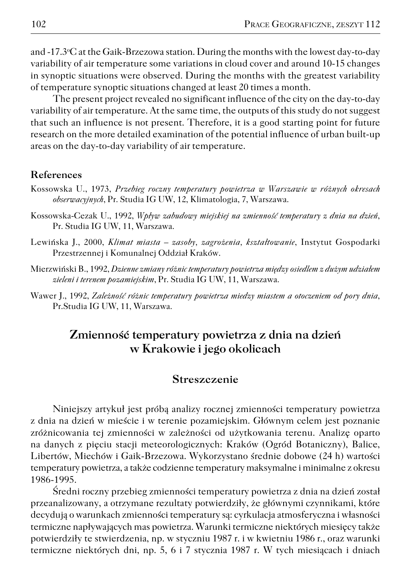and −17.3oC at the Gaik−Brzezowa station. During the months with the lowest day−to−day variability of air temperature some variations in cloud cover and around 10−15 changes in synoptic situations were observed. During the months with the greatest variability of temperature synoptic situations changed at least 20 times a month.

The present project revealed no significant influence of the city on the day−to−day variability of air temperature. At the same time, the outputs of this study do not suggest that such an influence is not present. Therefore, it is a good starting point for future research on the more detailed examination of the potential influence of urban built−up areas on the day−to−day variability of air temperature.

#### **References**

- Kossowska U., 1973, *Przebieg roczny temperatury powietrza w Warszawie w różnych okresach obserwacyjnych*, Pr. Studia IG UW, 12, Klimatologia, 7, Warszawa.
- Kossowska−Cezak U., 1992, *Wpływ zabudowy miejskiej na zmienność temperatury z dnia na dzień*, Pr. Studia IG UW, 11, Warszawa.
- Lewińska J., 2000, *Klimat miasta zasoby, zagrożenia, kształtowanie*, Instytut Gospodarki Przestrzennej i Komunalnej Oddział Kraków.
- Mierzwiński B., 1992, *Dzienne zmiany różnic temperatury powietrza między osiedlem z dużym udziałem zieleni i terenem pozamiejskim*, Pr. Studia IG UW, 11, Warszawa.
- Wawer J., 1992, *Zależność różnic temperatury powietrza miedzy miastem a otoczeniem od pory dnia*, Pr.Studia IG UW, 11, Warszawa.

## **Zmienność temperatury powietrza z dnia na dzień w Krakowie i jego okolicach**

#### **Streszczenie**

Niniejszy artykuł jest próbą analizy rocznej zmienności temperatury powietrza z dnia na dzień w mieście i w terenie pozamiejskim. Głównym celem jest poznanie zróżnicowania tej zmienności w zależności od użytkowania terenu. Analizę oparto na danych z pięciu stacji meteorologicznych: Kraków (Ogród Botaniczny), Balice, Libertów, Miechów i Gaik−Brzezowa. Wykorzystano średnie dobowe (24 h) wartości temperatury powietrza, a także codzienne temperatury maksymalne i minimalne z okresu 1986−1995.

Średni roczny przebieg zmienności temperatury powietrza z dnia na dzień został przeanalizowany, a otrzymane rezultaty potwierdziły, że głównymi czynnikami, które decydują o warunkach zmienności temperatury są: cyrkulacja atmosferyczna i własności termiczne napływających mas powietrza. Warunki termiczne niektórych miesięcy także potwierdziły te stwierdzenia, np. w styczniu 1987 r. i w kwietniu 1986 r., oraz warunki termiczne niektórych dni, np. 5, 6 i 7 stycznia 1987 r. W tych miesiącach i dniach